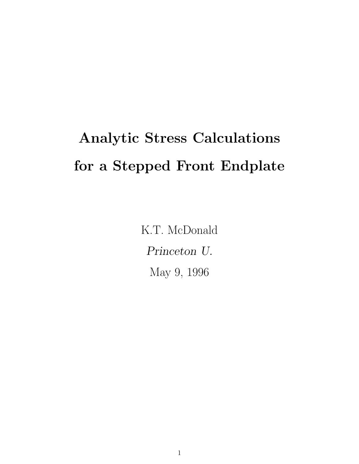# Analytic Stress Calculations for a Stepped Front Endplate

K.T. McDonald Princeton U. May 9, 1996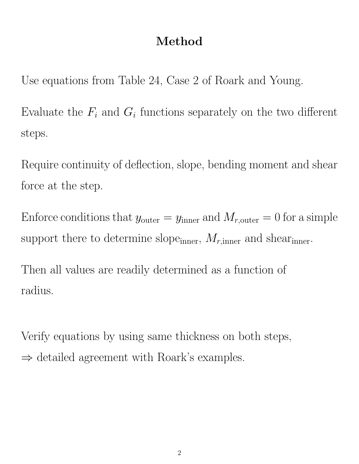## Method

Use equations from Table 24, Case 2 of Roark and Young.

Evaluate the  $F_i$  and  $G_i$  functions separately on the two different steps.

Require continuity of deflection, slope, bending moment and shear force at the step.

Enforce conditions that  $y_{\text{outer}} = y_{\text{inner}}$  and  $M_{r,\text{outer}} = 0$  for a simple support there to determine slope<sub>inner</sub>,  $M_{r,inner}$  and shear<sub>inner</sub>.

Then all values are readily determined as a function of radius.

Verify equations by using same thickness on both steps,  $\Rightarrow$  detailed agreement with Roark's examples.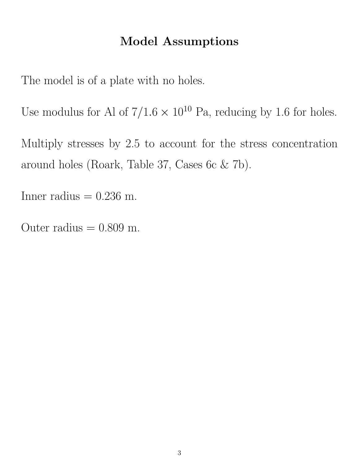### Model Assumptions

The model is of a plate with no holes.

Use modulus for Al of  $7/1.6 \times 10^{10}$  Pa, reducing by 1.6 for holes.

Multiply stresses by 2.5 to account for the stress concentration around holes (Roark, Table 37, Cases 6c & 7b).

Inner radius  $= 0.236$  m.

Outer radius  $= 0.809$  m.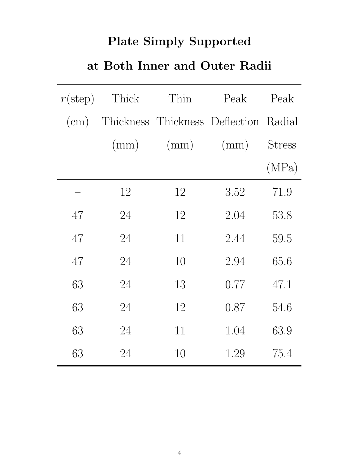# Plate Simply Supported

## at Both Inner and Outer Radii

| $r(\text{step})$ | Thick | Thin                                  | Peak | Peak          |
|------------------|-------|---------------------------------------|------|---------------|
| $\rm(cm)$        |       | Thickness Thickness Deflection Radial |      |               |
|                  | (mm)  | (mm)                                  | (mm) | <b>Stress</b> |
|                  |       |                                       |      | (MPa)         |
|                  | 12    | 12                                    | 3.52 | 71.9          |
| 47               | 24    | 12                                    | 2.04 | 53.8          |
| 47               | 24    | 11                                    | 2.44 | 59.5          |
| 47               | 24    | 10                                    | 2.94 | 65.6          |
| 63               | 24    | 13                                    | 0.77 | 47.1          |
| 63               | 24    | 12                                    | 0.87 | 54.6          |
| 63               | 24    | 11                                    | 1.04 | 63.9          |
| 63               | 24    | 10                                    | 1.29 | 75.4          |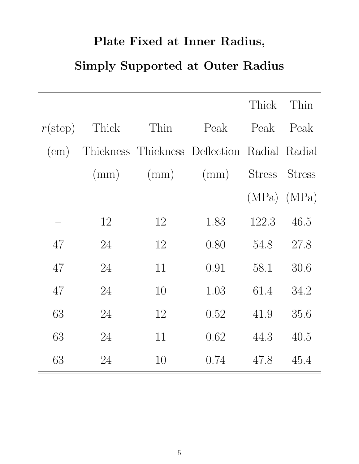# Plate Fixed at Inner Radius,

# Simply Supported at Outer Radius

|                  |       |      |                                              | Thick Thin      |               |
|------------------|-------|------|----------------------------------------------|-----------------|---------------|
| $r(\text{step})$ | Thick | Thin | Peak                                         | Peak            | Peak          |
| $\rm (cm)$       |       |      | Thickness Thickness Deflection Radial Radial |                 |               |
|                  | (mm)  |      | $(mm)$ $(mm)$                                | Stress          | <b>Stress</b> |
|                  |       |      |                                              | $(MPa)$ $(MPa)$ |               |
|                  | 12    | 12   | 1.83                                         | 122.3           | 46.5          |
| 47               | 24    | 12   | 0.80                                         | 54.8            | 27.8          |
| 47               | 24    | 11   | 0.91                                         | 58.1            | 30.6          |
| 47               | 24    | 10   | 1.03                                         | 61.4            | 34.2          |
| 63               | 24    | 12   | 0.52                                         | 41.9            | 35.6          |
| 63               | 24    | 11   | 0.62                                         | 44.3            | 40.5          |
| 63               | 24    | 10   | 0.74                                         | 47.8            | 45.4          |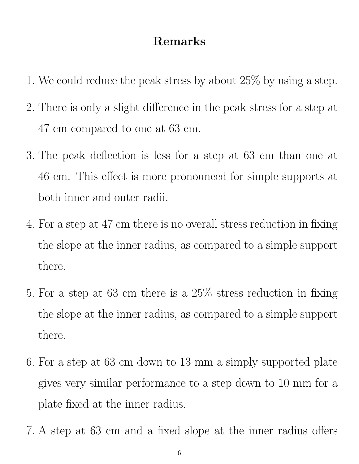#### Remarks

- 1. We could reduce the peak stress by about 25% by using a step.
- 2. There is only a slight difference in the peak stress for a step at 47 cm compared to one at 63 cm.
- 3. The peak deflection is less for a step at 63 cm than one at 46 cm. This effect is more pronounced for simple supports at both inner and outer radii.
- 4. For a step at 47 cm there is no overall stress reduction in fixing the slope at the inner radius, as compared to a simple support there.
- 5. For a step at 63 cm there is a 25% stress reduction in fixing the slope at the inner radius, as compared to a simple support there.
- 6. For a step at 63 cm down to 13 mm a simply supported plate gives very similar performance to a step down to 10 mm for a plate fixed at the inner radius.
- 7. A step at 63 cm and a fixed slope at the inner radius offers